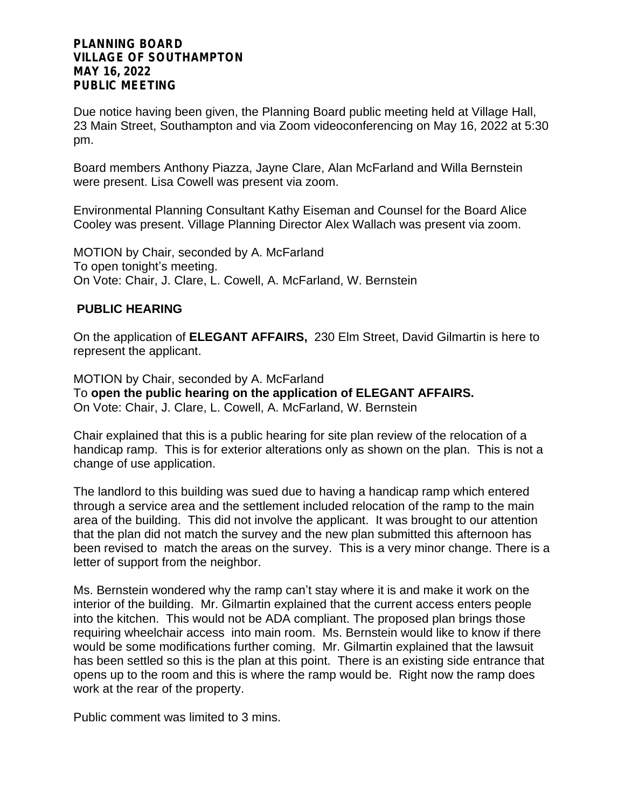Due notice having been given, the Planning Board public meeting held at Village Hall, 23 Main Street, Southampton and via Zoom videoconferencing on May 16, 2022 at 5:30 pm.

Board members Anthony Piazza, Jayne Clare, Alan McFarland and Willa Bernstein were present. Lisa Cowell was present via zoom.

Environmental Planning Consultant Kathy Eiseman and Counsel for the Board Alice Cooley was present. Village Planning Director Alex Wallach was present via zoom.

MOTION by Chair, seconded by A. McFarland To open tonight's meeting. On Vote: Chair, J. Clare, L. Cowell, A. McFarland, W. Bernstein

# **PUBLIC HEARING**

On the application of **ELEGANT AFFAIRS,** 230 Elm Street, David Gilmartin is here to represent the applicant.

MOTION by Chair, seconded by A. McFarland To **open the public hearing on the application of ELEGANT AFFAIRS.** On Vote: Chair, J. Clare, L. Cowell, A. McFarland, W. Bernstein

Chair explained that this is a public hearing for site plan review of the relocation of a handicap ramp. This is for exterior alterations only as shown on the plan. This is not a change of use application.

The landlord to this building was sued due to having a handicap ramp which entered through a service area and the settlement included relocation of the ramp to the main area of the building. This did not involve the applicant. It was brought to our attention that the plan did not match the survey and the new plan submitted this afternoon has been revised to match the areas on the survey. This is a very minor change. There is a letter of support from the neighbor.

Ms. Bernstein wondered why the ramp can't stay where it is and make it work on the interior of the building. Mr. Gilmartin explained that the current access enters people into the kitchen. This would not be ADA compliant. The proposed plan brings those requiring wheelchair access into main room. Ms. Bernstein would like to know if there would be some modifications further coming. Mr. Gilmartin explained that the lawsuit has been settled so this is the plan at this point. There is an existing side entrance that opens up to the room and this is where the ramp would be. Right now the ramp does work at the rear of the property.

Public comment was limited to 3 mins.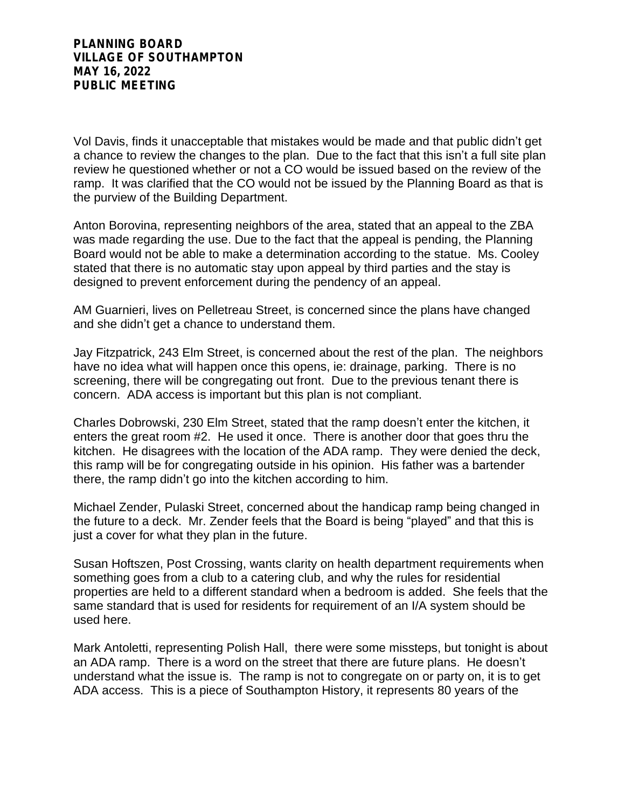Vol Davis, finds it unacceptable that mistakes would be made and that public didn't get a chance to review the changes to the plan. Due to the fact that this isn't a full site plan review he questioned whether or not a CO would be issued based on the review of the ramp. It was clarified that the CO would not be issued by the Planning Board as that is the purview of the Building Department.

Anton Borovina, representing neighbors of the area, stated that an appeal to the ZBA was made regarding the use. Due to the fact that the appeal is pending, the Planning Board would not be able to make a determination according to the statue. Ms. Cooley stated that there is no automatic stay upon appeal by third parties and the stay is designed to prevent enforcement during the pendency of an appeal.

AM Guarnieri, lives on Pelletreau Street, is concerned since the plans have changed and she didn't get a chance to understand them.

Jay Fitzpatrick, 243 Elm Street, is concerned about the rest of the plan. The neighbors have no idea what will happen once this opens, ie: drainage, parking. There is no screening, there will be congregating out front. Due to the previous tenant there is concern. ADA access is important but this plan is not compliant.

Charles Dobrowski, 230 Elm Street, stated that the ramp doesn't enter the kitchen, it enters the great room #2. He used it once. There is another door that goes thru the kitchen. He disagrees with the location of the ADA ramp. They were denied the deck, this ramp will be for congregating outside in his opinion. His father was a bartender there, the ramp didn't go into the kitchen according to him.

Michael Zender, Pulaski Street, concerned about the handicap ramp being changed in the future to a deck. Mr. Zender feels that the Board is being "played" and that this is just a cover for what they plan in the future.

Susan Hoftszen, Post Crossing, wants clarity on health department requirements when something goes from a club to a catering club, and why the rules for residential properties are held to a different standard when a bedroom is added. She feels that the same standard that is used for residents for requirement of an I/A system should be used here.

Mark Antoletti, representing Polish Hall, there were some missteps, but tonight is about an ADA ramp. There is a word on the street that there are future plans. He doesn't understand what the issue is. The ramp is not to congregate on or party on, it is to get ADA access. This is a piece of Southampton History, it represents 80 years of the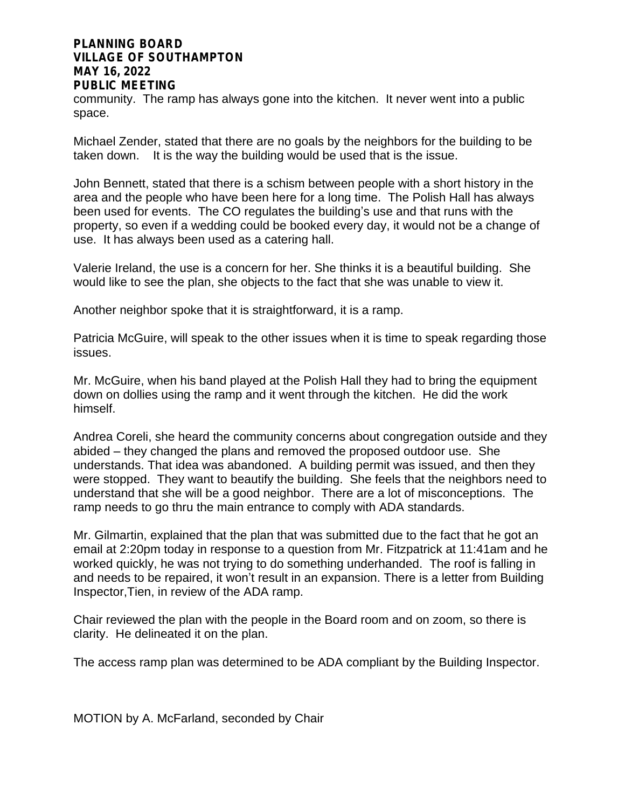community. The ramp has always gone into the kitchen. It never went into a public space.

Michael Zender, stated that there are no goals by the neighbors for the building to be taken down. It is the way the building would be used that is the issue.

John Bennett, stated that there is a schism between people with a short history in the area and the people who have been here for a long time. The Polish Hall has always been used for events. The CO regulates the building's use and that runs with the property, so even if a wedding could be booked every day, it would not be a change of use. It has always been used as a catering hall.

Valerie Ireland, the use is a concern for her. She thinks it is a beautiful building. She would like to see the plan, she objects to the fact that she was unable to view it.

Another neighbor spoke that it is straightforward, it is a ramp.

Patricia McGuire, will speak to the other issues when it is time to speak regarding those issues.

Mr. McGuire, when his band played at the Polish Hall they had to bring the equipment down on dollies using the ramp and it went through the kitchen. He did the work himself.

Andrea Coreli, she heard the community concerns about congregation outside and they abided – they changed the plans and removed the proposed outdoor use. She understands. That idea was abandoned. A building permit was issued, and then they were stopped. They want to beautify the building. She feels that the neighbors need to understand that she will be a good neighbor. There are a lot of misconceptions. The ramp needs to go thru the main entrance to comply with ADA standards.

Mr. Gilmartin, explained that the plan that was submitted due to the fact that he got an email at 2:20pm today in response to a question from Mr. Fitzpatrick at 11:41am and he worked quickly, he was not trying to do something underhanded. The roof is falling in and needs to be repaired, it won't result in an expansion. There is a letter from Building Inspector,Tien, in review of the ADA ramp.

Chair reviewed the plan with the people in the Board room and on zoom, so there is clarity. He delineated it on the plan.

The access ramp plan was determined to be ADA compliant by the Building Inspector.

MOTION by A. McFarland, seconded by Chair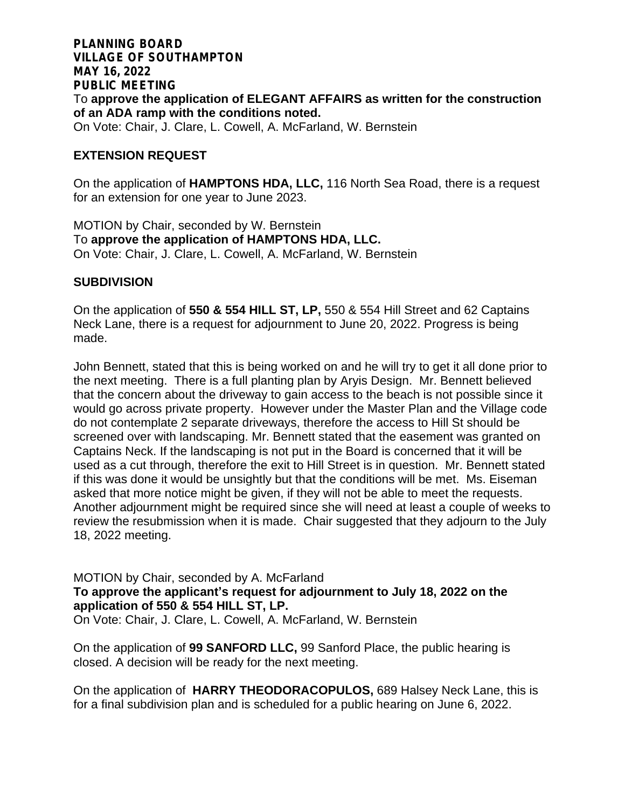### **PLANNING BOARD VILLAGE OF SOUTHAMPTON MAY 16, 2022 PUBLIC MEETING** To **approve the application of ELEGANT AFFAIRS as written for the construction of an ADA ramp with the conditions noted.** On Vote: Chair, J. Clare, L. Cowell, A. McFarland, W. Bernstein

### **EXTENSION REQUEST**

On the application of **HAMPTONS HDA, LLC,** 116 North Sea Road, there is a request for an extension for one year to June 2023.

MOTION by Chair, seconded by W. Bernstein To **approve the application of HAMPTONS HDA, LLC.** On Vote: Chair, J. Clare, L. Cowell, A. McFarland, W. Bernstein

# **SUBDIVISION**

On the application of **550 & 554 HILL ST, LP,** 550 & 554 Hill Street and 62 Captains Neck Lane, there is a request for adjournment to June 20, 2022. Progress is being made.

John Bennett, stated that this is being worked on and he will try to get it all done prior to the next meeting. There is a full planting plan by Aryis Design. Mr. Bennett believed that the concern about the driveway to gain access to the beach is not possible since it would go across private property. However under the Master Plan and the Village code do not contemplate 2 separate driveways, therefore the access to Hill St should be screened over with landscaping. Mr. Bennett stated that the easement was granted on Captains Neck. If the landscaping is not put in the Board is concerned that it will be used as a cut through, therefore the exit to Hill Street is in question. Mr. Bennett stated if this was done it would be unsightly but that the conditions will be met. Ms. Eiseman asked that more notice might be given, if they will not be able to meet the requests. Another adjournment might be required since she will need at least a couple of weeks to review the resubmission when it is made. Chair suggested that they adjourn to the July 18, 2022 meeting.

MOTION by Chair, seconded by A. McFarland **To approve the applicant's request for adjournment to July 18, 2022 on the application of 550 & 554 HILL ST, LP.**  On Vote: Chair, J. Clare, L. Cowell, A. McFarland, W. Bernstein

On the application of **99 SANFORD LLC,** 99 Sanford Place, the public hearing is closed. A decision will be ready for the next meeting.

On the application of **HARRY THEODORACOPULOS,** 689 Halsey Neck Lane, this is for a final subdivision plan and is scheduled for a public hearing on June 6, 2022.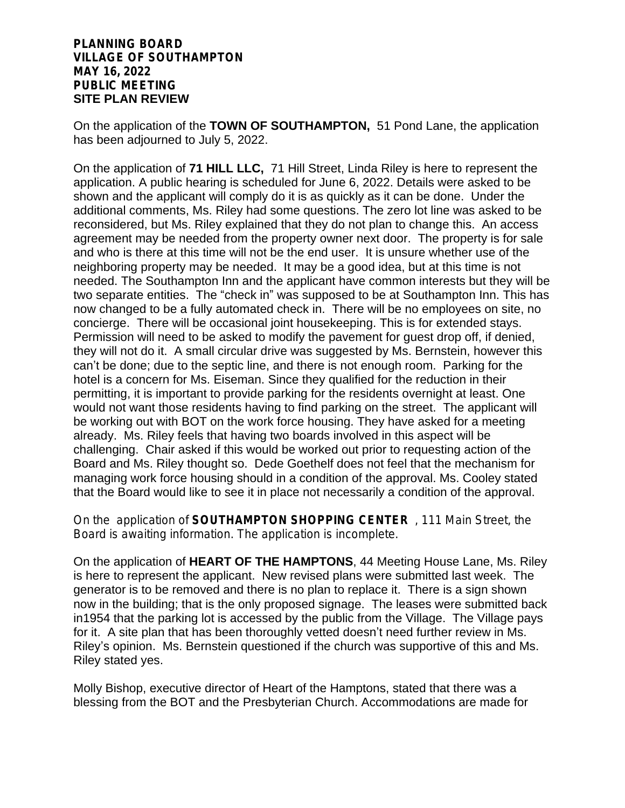# **PLANNING BOARD VILLAGE OF SOUTHAMPTON MAY 16, 2022 PUBLIC MEETING SITE PLAN REVIEW**

On the application of the **TOWN OF SOUTHAMPTON,** 51 Pond Lane, the application has been adjourned to July 5, 2022.

On the application of **71 HILL LLC,** 71 Hill Street, Linda Riley is here to represent the application. A public hearing is scheduled for June 6, 2022. Details were asked to be shown and the applicant will comply do it is as quickly as it can be done. Under the additional comments, Ms. Riley had some questions. The zero lot line was asked to be reconsidered, but Ms. Riley explained that they do not plan to change this. An access agreement may be needed from the property owner next door. The property is for sale and who is there at this time will not be the end user. It is unsure whether use of the neighboring property may be needed. It may be a good idea, but at this time is not needed. The Southampton Inn and the applicant have common interests but they will be two separate entities. The "check in" was supposed to be at Southampton Inn. This has now changed to be a fully automated check in. There will be no employees on site, no concierge. There will be occasional joint housekeeping. This is for extended stays. Permission will need to be asked to modify the pavement for guest drop off, if denied, they will not do it. A small circular drive was suggested by Ms. Bernstein, however this can't be done; due to the septic line, and there is not enough room. Parking for the hotel is a concern for Ms. Eiseman. Since they qualified for the reduction in their permitting, it is important to provide parking for the residents overnight at least. One would not want those residents having to find parking on the street. The applicant will be working out with BOT on the work force housing. They have asked for a meeting already. Ms. Riley feels that having two boards involved in this aspect will be challenging. Chair asked if this would be worked out prior to requesting action of the Board and Ms. Riley thought so. Dede Goethelf does not feel that the mechanism for managing work force housing should in a condition of the approval. Ms. Cooley stated that the Board would like to see it in place not necessarily a condition of the approval.

On the application of **SOUTHAMPTON SHOPPING CENTER** , 111 Main Street, the Board is awaiting information. The application is incomplete.

On the application of **HEART OF THE HAMPTONS**, 44 Meeting House Lane, Ms. Riley is here to represent the applicant. New revised plans were submitted last week. The generator is to be removed and there is no plan to replace it. There is a sign shown now in the building; that is the only proposed signage. The leases were submitted back in1954 that the parking lot is accessed by the public from the Village. The Village pays for it. A site plan that has been thoroughly vetted doesn't need further review in Ms. Riley's opinion. Ms. Bernstein questioned if the church was supportive of this and Ms. Riley stated yes.

Molly Bishop, executive director of Heart of the Hamptons, stated that there was a blessing from the BOT and the Presbyterian Church. Accommodations are made for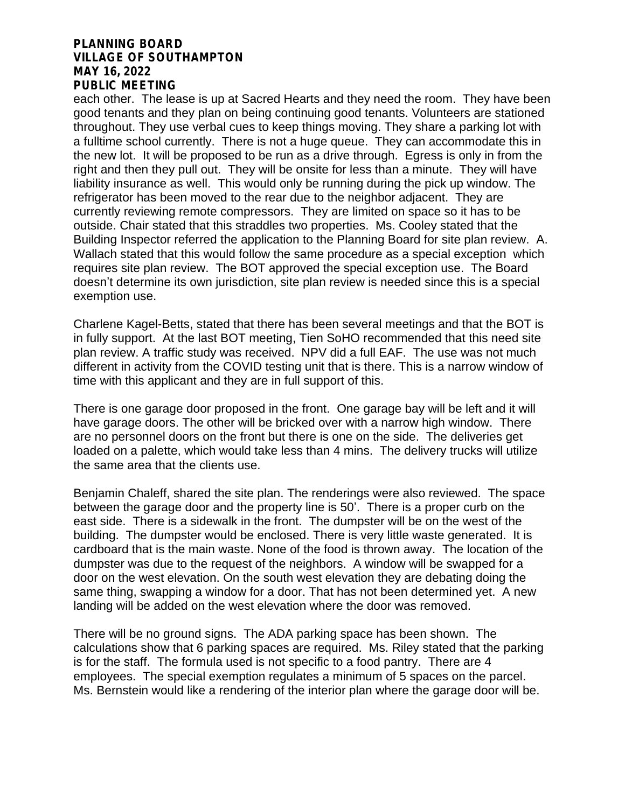each other. The lease is up at Sacred Hearts and they need the room. They have been good tenants and they plan on being continuing good tenants. Volunteers are stationed throughout. They use verbal cues to keep things moving. They share a parking lot with a fulltime school currently. There is not a huge queue. They can accommodate this in the new lot. It will be proposed to be run as a drive through. Egress is only in from the right and then they pull out. They will be onsite for less than a minute. They will have liability insurance as well. This would only be running during the pick up window. The refrigerator has been moved to the rear due to the neighbor adjacent. They are currently reviewing remote compressors. They are limited on space so it has to be outside. Chair stated that this straddles two properties. Ms. Cooley stated that the Building Inspector referred the application to the Planning Board for site plan review. A. Wallach stated that this would follow the same procedure as a special exception which requires site plan review. The BOT approved the special exception use. The Board doesn't determine its own jurisdiction, site plan review is needed since this is a special exemption use.

Charlene Kagel-Betts, stated that there has been several meetings and that the BOT is in fully support. At the last BOT meeting, Tien SoHO recommended that this need site plan review. A traffic study was received. NPV did a full EAF. The use was not much different in activity from the COVID testing unit that is there. This is a narrow window of time with this applicant and they are in full support of this.

There is one garage door proposed in the front. One garage bay will be left and it will have garage doors. The other will be bricked over with a narrow high window. There are no personnel doors on the front but there is one on the side. The deliveries get loaded on a palette, which would take less than 4 mins. The delivery trucks will utilize the same area that the clients use.

Benjamin Chaleff, shared the site plan. The renderings were also reviewed. The space between the garage door and the property line is 50'. There is a proper curb on the east side. There is a sidewalk in the front. The dumpster will be on the west of the building. The dumpster would be enclosed. There is very little waste generated. It is cardboard that is the main waste. None of the food is thrown away. The location of the dumpster was due to the request of the neighbors. A window will be swapped for a door on the west elevation. On the south west elevation they are debating doing the same thing, swapping a window for a door. That has not been determined yet. A new landing will be added on the west elevation where the door was removed.

There will be no ground signs. The ADA parking space has been shown. The calculations show that 6 parking spaces are required. Ms. Riley stated that the parking is for the staff. The formula used is not specific to a food pantry. There are 4 employees. The special exemption regulates a minimum of 5 spaces on the parcel. Ms. Bernstein would like a rendering of the interior plan where the garage door will be.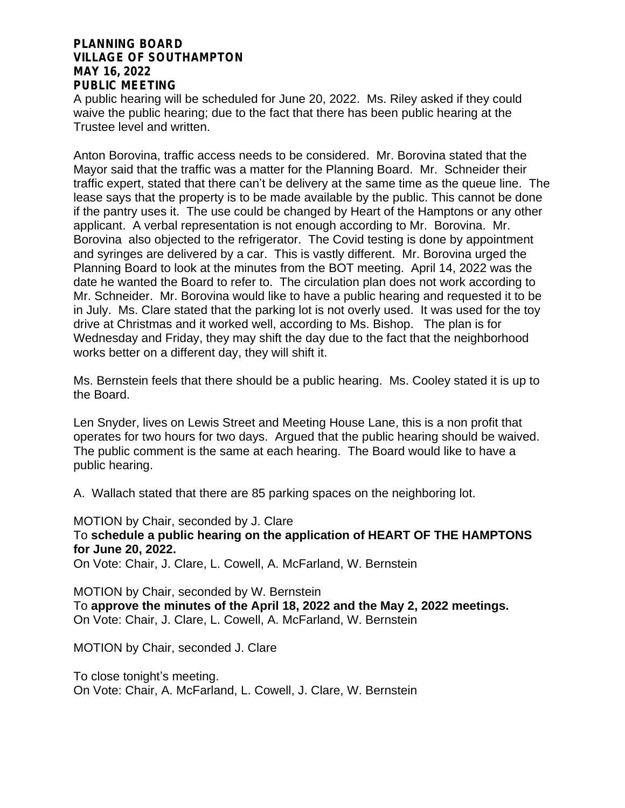A public hearing will be scheduled for June 20, 2022. Ms. Riley asked if they could waive the public hearing; due to the fact that there has been public hearing at the Trustee level and written.

Anton Borovina, traffic access needs to be considered. Mr. Borovina stated that the Mayor said that the traffic was a matter for the Planning Board. Mr. Schneider their traffic expert, stated that there can't be delivery at the same time as the queue line. The lease says that the property is to be made available by the public. This cannot be done if the pantry uses it. The use could be changed by Heart of the Hamptons or any other applicant. A verbal representation is not enough according to Mr. Borovina. Mr. Borovina also objected to the refrigerator. The Covid testing is done by appointment and syringes are delivered by a car. This is vastly different. Mr. Borovina urged the Planning Board to look at the minutes from the BOT meeting. April 14, 2022 was the date he wanted the Board to refer to. The circulation plan does not work according to Mr. Schneider. Mr. Borovina would like to have a public hearing and requested it to be in July. Ms. Clare stated that the parking lot is not overly used. It was used for the toy drive at Christmas and it worked well, according to Ms. Bishop. The plan is for Wednesday and Friday, they may shift the day due to the fact that the neighborhood works better on a different day, they will shift it.

Ms. Bernstein feels that there should be a public hearing. Ms. Cooley stated it is up to the Board.

Len Snyder, lives on Lewis Street and Meeting House Lane, this is a non profit that operates for two hours for two days. Argued that the public hearing should be waived. The public comment is the same at each hearing. The Board would like to have a public hearing.

A. Wallach stated that there are 85 parking spaces on the neighboring lot.

MOTION by Chair, seconded by J. Clare To **schedule a public hearing on the application of HEART OF THE HAMPTONS for June 20, 2022.**  On Vote: Chair, J. Clare, L. Cowell, A. McFarland, W. Bernstein

MOTION by Chair, seconded by W. Bernstein To **approve the minutes of the April 18, 2022 and the May 2, 2022 meetings.** On Vote: Chair, J. Clare, L. Cowell, A. McFarland, W. Bernstein

MOTION by Chair, seconded J. Clare

To close tonight's meeting. On Vote: Chair, A. McFarland, L. Cowell, J. Clare, W. Bernstein